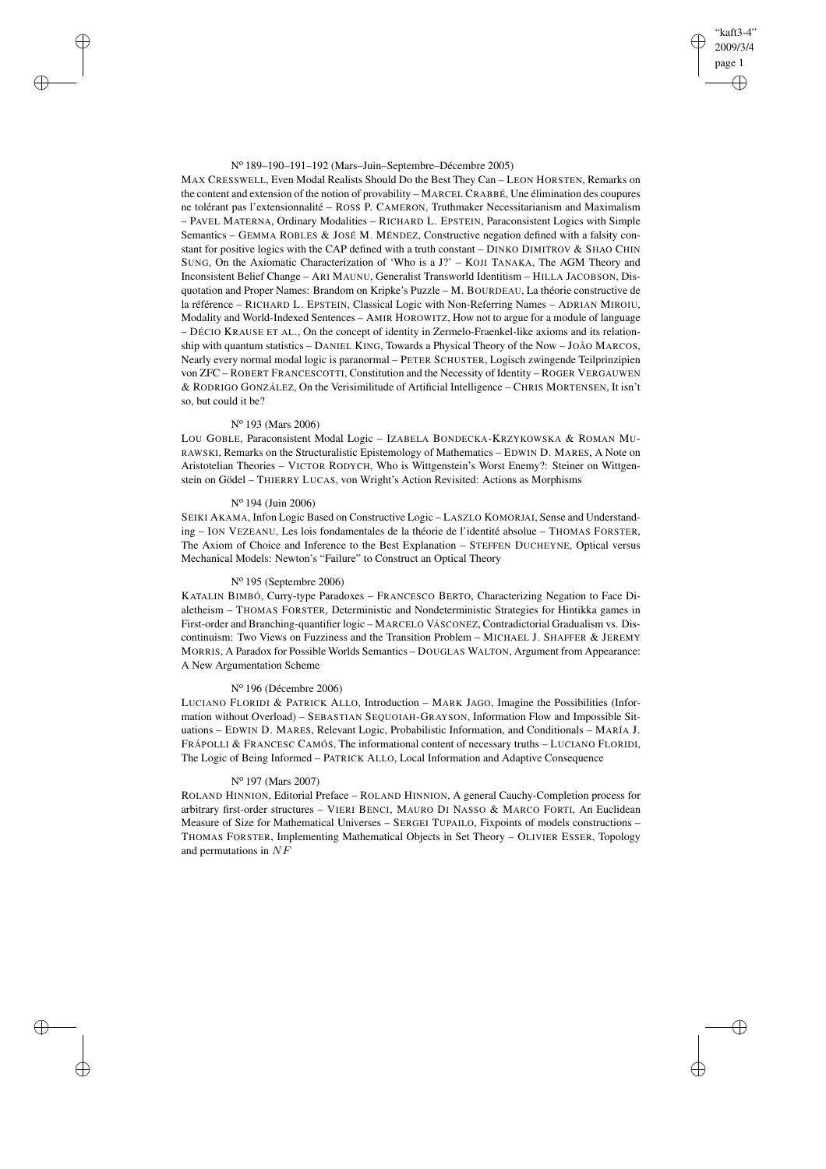### N<sup>o</sup> 189–190–191–192 (Mars–Juin–Septembre–Décembre 2005)

MAX CRESSWELL, Even Modal Realists Should Do the Best They Can – LEON HORSTEN, Remarks on the content and extension of the notion of provability – MARCEL CRABBÉ, Une élimination des coupures ne tolérant pas l'extensionnalité – ROSS P. CAMERON, Truthmaker Necessitarianism and Maximalism – PAVEL MATERNA, Ordinary Modalities – RICHARD L. EPSTEIN, Paraconsistent Logics with Simple Semantics – GEMMA ROBLES & JOSÉ M. MÉNDEZ, Constructive negation defined with a falsity constant for positive logics with the CAP defined with a truth constant – DINKO DIMITROV & SHAO CHIN SUNG, On the Axiomatic Characterization of 'Who is a J?' – KOJI TANAKA, The AGM Theory and Inconsistent Belief Change – ARI MAUNU, Generalist Transworld Identitism – HILLA JACOBSON, Disquotation and Proper Names: Brandom on Kripke's Puzzle – M. BOURDEAU, La théorie constructive de la référence – RICHARD L. EPSTEIN, Classical Logic with Non-Referring Names – ADRIAN MIROIU, Modality and World-Indexed Sentences – AMIR HOROWITZ, How not to argue for a module of language – DÉCIO KRAUSE ET AL., On the concept of identity in Zermelo-Fraenkel-like axioms and its relationship with quantum statistics – DANIEL KING, Towards a Physical Theory of the Now – JOÃO MARCOS, Nearly every normal modal logic is paranormal – PETER SCHUSTER, Logisch zwingende Teilprinzipien von ZFC – ROBERT FRANCESCOTTI, Constitution and the Necessity of Identity – ROGER VERGAUWEN & RODRIGO GONZÁLEZ, On the Verisimilitude of Artificial Intelligence – CHRIS MORTENSEN, It isn't so, but could it be?

"kaft3-4" 2009/3/4 page 1

✐

✐

✐

✐

# N<sup>o</sup> 193 (Mars 2006)

✐

✐

✐

✐

LOU GOBLE, Paraconsistent Modal Logic – IZABELA BONDECKA-KRZYKOWSKA & ROMAN MU-RAWSKI, Remarks on the Structuralistic Epistemology of Mathematics – EDWIN D. MARES, A Note on Aristotelian Theories – VICTOR RODYCH, Who is Wittgenstein's Worst Enemy?: Steiner on Wittgenstein on Gödel – THIERRY LUCAS, von Wright's Action Revisited: Actions as Morphisms

## N<sup>o</sup> 194 (Juin 2006)

SEIKI AKAMA, Infon Logic Based on Constructive Logic – LASZLO KOMORJAI, Sense and Understanding – ION VEZEANU, Les lois fondamentales de la théorie de l'identité absolue – THOMAS FORSTER, The Axiom of Choice and Inference to the Best Explanation – STEFFEN DUCHEYNE, Optical versus Mechanical Models: Newton's "Failure" to Construct an Optical Theory

# N<sup>o</sup> 195 (Septembre 2006)

KATALIN BIMBÓ, Curry-type Paradoxes – FRANCESCO BERTO, Characterizing Negation to Face Dialetheism – THOMAS FORSTER, Deterministic and Nondeterministic Strategies for Hintikka games in First-order and Branching-quantifier logic – MARCELO VÁSCONEZ, Contradictorial Gradualism vs. Discontinuism: Two Views on Fuzziness and the Transition Problem – MICHAEL J. SHAFFER & JEREMY MORRIS, A Paradox for Possible Worlds Semantics – DOUGLAS WALTON, Argument from Appearance: A New Argumentation Scheme

# N<sup>o</sup> 196 (Décembre 2006)

LUCIANO FLORIDI & PATRICK ALLO, Introduction – MARK JAGO, Imagine the Possibilities (Information without Overload) – SEBASTIAN SEQUOIAH-GRAYSON, Information Flow and Impossible Situations – EDWIN D. MARES, Relevant Logic, Probabilistic Information, and Conditionals – MARÍA J. FRÁPOLLI & FRANCESC CAMÓS, The informational content of necessary truths – LUCIANO FLORIDI, The Logic of Being Informed – PATRICK ALLO, Local Information and Adaptive Consequence

# N<sup>o</sup> 197 (Mars 2007)

ROLAND HINNION, Editorial Preface – ROLAND HINNION, A general Cauchy-Completion process for arbitrary first-order structures – VIERI BENCI, MAURO DI NASSO & MARCO FORTI, An Euclidean Measure of Size for Mathematical Universes – SERGEI TUPAILO, Fixpoints of models constructions – THOMAS FORSTER, Implementing Mathematical Objects in Set Theory – OLIVIER ESSER, Topology and permutations in NF